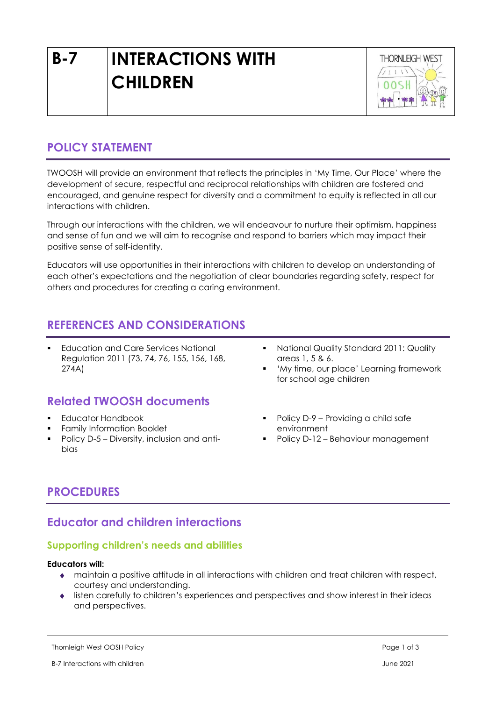# **B-7 INTERACTIONS WITH CHILDREN**



# **POLICY STATEMENT**

TWOOSH will provide an environment that reflects the principles in 'My Time, Our Place' where the development of secure, respectful and reciprocal relationships with children are fostered and encouraged, and genuine respect for diversity and a commitment to equity is reflected in all our interactions with children.

Through our interactions with the children, we will endeavour to nurture their optimism, happiness and sense of fun and we will aim to recognise and respond to barriers which may impact their positive sense of self-identity.

Educators will use opportunities in their interactions with children to develop an understanding of each other's expectations and the negotiation of clear boundaries regarding safety, respect for others and procedures for creating a caring environment.

## **REFERENCES AND CONSIDERATIONS**

**Education and Care Services National** Regulation 2011 (73, 74, 76, 155, 156, 168, 274A)

# **Related TWOOSH documents**

- Educator Handbook
- **•** Family Information Booklet
- Policy D-5 Diversity, inclusion and antibias
- National Quality Standard 2011: Quality areas 1, 5 & 6.
- 'My time, our place' Learning framework for school age children
- Policy D-9 Providing a child safe environment
- Policy D-12 Behaviour management

# **PROCEDURES**

## **Educator and children interactions**

## **Supporting children's needs and abilities**

#### **Educators will:**

- maintain a positive attitude in all interactions with children and treat children with respect, courtesy and understanding.
- listen carefully to children's experiences and perspectives and show interest in their ideas and perspectives.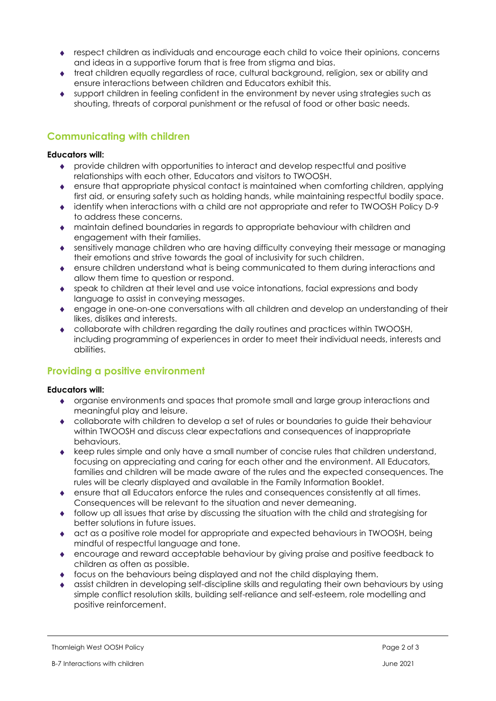- respect children as individuals and encourage each child to voice their opinions, concerns and ideas in a supportive forum that is free from stigma and bias.
- treat children equally regardless of race, cultural background, religion, sex or ability and ensure interactions between children and Educators exhibit this.
- support children in feeling confident in the environment by never using strategies such as shouting, threats of corporal punishment or the refusal of food or other basic needs.

### **Communicating with children**

#### **Educators will:**

- provide children with opportunities to interact and develop respectful and positive relationships with each other, Educators and visitors to TWOOSH.
- ensure that appropriate physical contact is maintained when comforting children, applying first aid, or ensuring safety such as holding hands, while maintaining respectful bodily space.
- identify when interactions with a child are not appropriate and refer to TWOOSH Policy D-9 to address these concerns.
- maintain defined boundaries in regards to appropriate behaviour with children and engagement with their families.
- sensitively manage children who are having difficulty conveying their message or managing their emotions and strive towards the goal of inclusivity for such children.
- ensure children understand what is being communicated to them during interactions and allow them time to question or respond.
- speak to children at their level and use voice intonations, facial expressions and body language to assist in conveying messages.
- engage in one-on-one conversations with all children and develop an understanding of their likes, dislikes and interests.
- collaborate with children regarding the daily routines and practices within TWOOSH, including programming of experiences in order to meet their individual needs, interests and abilities.

## **Providing a positive environment**

#### **Educators will:**

- organise environments and spaces that promote small and large group interactions and meaningful play and leisure.
- collaborate with children to develop a set of rules or boundaries to guide their behaviour within TWOOSH and discuss clear expectations and consequences of inappropriate behaviours.
- keep rules simple and only have a small number of concise rules that children understand, focusing on appreciating and caring for each other and the environment. All Educators, families and children will be made aware of the rules and the expected consequences. The rules will be clearly displayed and available in the Family Information Booklet.
- ensure that all Educators enforce the rules and consequences consistently at all times. Consequences will be relevant to the situation and never demeaning.
- follow up all issues that arise by discussing the situation with the child and strategising for better solutions in future issues.
- act as a positive role model for appropriate and expected behaviours in TWOOSH, being mindful of respectful language and tone.
- encourage and reward acceptable behaviour by giving praise and positive feedback to children as often as possible.
- focus on the behaviours being displayed and not the child displaying them.
- assist children in developing self-discipline skills and regulating their own behaviours by using simple conflict resolution skills, building self-reliance and self-esteem, role modelling and positive reinforcement.